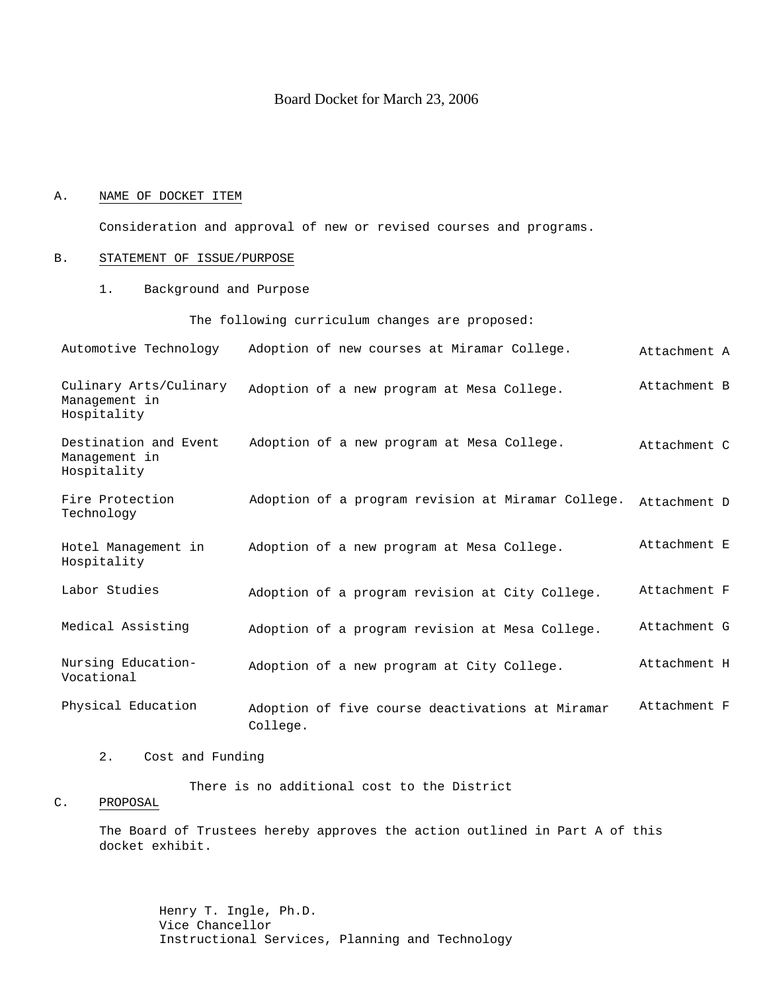### Board Docket for March 23, 2006

#### A. NAME OF DOCKET ITEM

Consideration and approval of new or revised courses and programs.

#### B. STATEMENT OF ISSUE/PURPOSE

1. Background and Purpose

The following curriculum changes are proposed:

Automotive Technology Adoption of new courses at Miramar College.  $\overline{A}$  Attachment A

Culinary Arts/Culinary Management in Hospitality Adoption of a new program at Mesa College. Attachment B

- Destination and Event Management in Hospitality Adoption of a new program at Mesa College. Attachment C
- Fire Protection Technology Adoption of a program revision at Miramar College. Attachment D
- Hotel Management in Hospitality Adoption of a new program at Mesa College. Attachment E
- Labor Studies **Adoption of a program revision at City College.** Attachment F
- Medical Assisting adoption of a program revision at Mesa College. Attachment G

Nursing Education-Vocational Adoption of a new program at City College. Attachment H

- Physical Education adoption of five course deactivations at Miramar College. Attachment F
	- 2. Cost and Funding

There is no additional cost to the District

#### C. PROPOSAL

The Board of Trustees hereby approves the action outlined in Part A of this docket exhibit.

> Henry T. Ingle, Ph.D. Vice Chancellor Instructional Services, Planning and Technology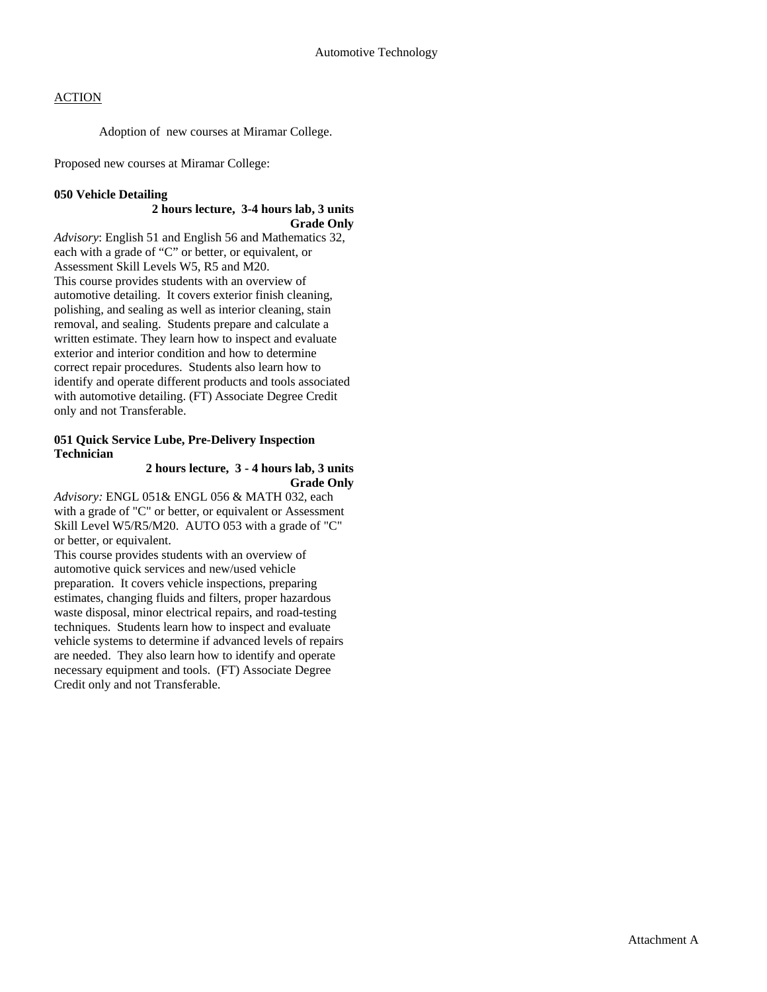Adoption of new courses at Miramar College.

Proposed new courses at Miramar College:

### **050 Vehicle Detailing**

#### **2 hours lecture, 3-4 hours lab, 3 units Grade Only**

*Advisory*: English 51 and English 56 and Mathematics 32, each with a grade of "C" or better, or equivalent, or Assessment Skill Levels W5, R5 and M20. This course provides students with an overview of automotive detailing. It covers exterior finish cleaning, polishing, and sealing as well as interior cleaning, stain removal, and sealing. Students prepare and calculate a written estimate. They learn how to inspect and evaluate exterior and interior condition and how to determine correct repair procedures. Students also learn how to identify and operate different products and tools associated with automotive detailing. (FT) Associate Degree Credit only and not Transferable.

### **051 Quick Service Lube, Pre-Delivery Inspection Technician**

### **2 hours lecture, 3 - 4 hours lab, 3 units Grade Only**

*Advisory:* ENGL 051& ENGL 056 & MATH 032, each with a grade of "C" or better, or equivalent or Assessment Skill Level W5/R5/M20. AUTO 053 with a grade of "C" or better, or equivalent.

This course provides students with an overview of automotive quick services and new/used vehicle preparation. It covers vehicle inspections, preparing estimates, changing fluids and filters, proper hazardous waste disposal, minor electrical repairs, and road-testing techniques. Students learn how to inspect and evaluate vehicle systems to determine if advanced levels of repairs are needed. They also learn how to identify and operate necessary equipment and tools. (FT) Associate Degree Credit only and not Transferable.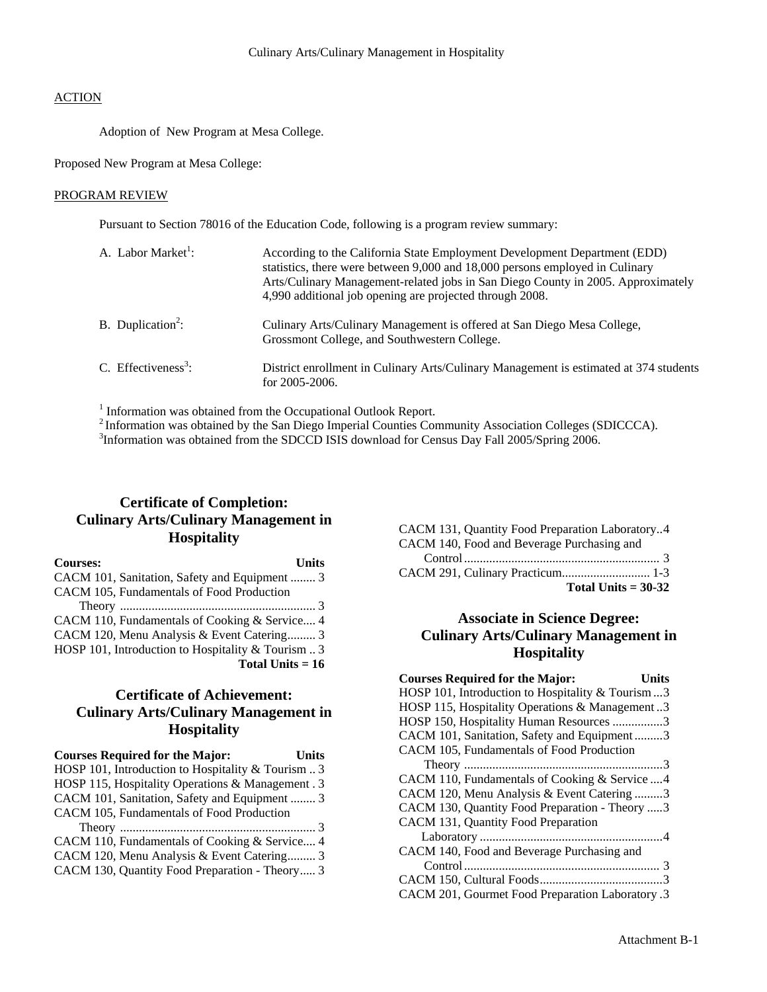Adoption of New Program at Mesa College.

Proposed New Program at Mesa College:

#### PROGRAM REVIEW

Pursuant to Section 78016 of the Education Code, following is a program review summary:

| A. Labor Market <sup>1</sup> :  | According to the California State Employment Development Department (EDD)<br>statistics, there were between 9,000 and 18,000 persons employed in Culinary<br>Arts/Culinary Management-related jobs in San Diego County in 2005. Approximately<br>4,990 additional job opening are projected through 2008. |
|---------------------------------|-----------------------------------------------------------------------------------------------------------------------------------------------------------------------------------------------------------------------------------------------------------------------------------------------------------|
| B. Duplication <sup>2</sup> :   | Culinary Arts/Culinary Management is offered at San Diego Mesa College,<br>Grossmont College, and Southwestern College.                                                                                                                                                                                   |
| C. Effectiveness <sup>3</sup> : | District enrollment in Culinary Arts/Culinary Management is estimated at 374 students<br>for $2005 - 2006$ .                                                                                                                                                                                              |

<sup>1</sup> Information was obtained from the Occupational Outlook Report.

<sup>2</sup> Information was obtained by the San Diego Imperial Counties Community Association Colleges (SDICCCA).

<sup>3</sup>Information was obtained from the SDCCD ISIS download for Census Day Fall 2005/Spring 2006.

# **Certificate of Completion: Culinary Arts/Culinary Management in Hospitality**

| <b>Courses:</b><br><b>Units</b>                            |
|------------------------------------------------------------|
| CACM 101, Sanitation, Safety and Equipment  3              |
| CACM 105, Fundamentals of Food Production                  |
|                                                            |
| CACM 110, Fundamentals of Cooking & Service 4              |
| CACM 120, Menu Analysis & Event Catering 3                 |
| HOSP 101, Introduction to Hospitality & Tourism $\ldots$ 3 |
| Total Units $= 16$                                         |

# **Certificate of Achievement: Culinary Arts/Culinary Management in Hospitality**

| <b>Courses Required for the Major:</b>             | <b>Units</b> |
|----------------------------------------------------|--------------|
| HOSP 101, Introduction to Hospitality & Tourism  3 |              |
| HOSP 115, Hospitality Operations & Management. 3   |              |
| CACM 101, Sanitation, Safety and Equipment  3      |              |
| CACM 105, Fundamentals of Food Production          |              |
|                                                    |              |
| CACM 110, Fundamentals of Cooking & Service 4      |              |
| CACM 120, Menu Analysis & Event Catering 3         |              |
| CACM 130, Quantity Food Preparation - Theory 3     |              |

| CACM 131, Quantity Food Preparation Laboratory4 |
|-------------------------------------------------|
| CACM 140, Food and Beverage Purchasing and      |
|                                                 |
|                                                 |
| Total Units $= 30-32$                           |

## **Associate in Science Degree: Culinary Arts/Culinary Management in Hospitality**

| <b>Courses Required for the Major:</b><br>Units   |  |
|---------------------------------------------------|--|
| HOSP 101, Introduction to Hospitality & Tourism 3 |  |
| HOSP 115, Hospitality Operations & Management3    |  |
| HOSP 150, Hospitality Human Resources 3           |  |
| CACM 101, Sanitation, Safety and Equipment3       |  |
| CACM 105, Fundamentals of Food Production         |  |
|                                                   |  |
| CACM 110, Fundamentals of Cooking & Service  4    |  |
| CACM 120, Menu Analysis & Event Catering 3        |  |
| CACM 130, Quantity Food Preparation - Theory 3    |  |
| CACM 131, Quantity Food Preparation               |  |
|                                                   |  |
| CACM 140, Food and Beverage Purchasing and        |  |
|                                                   |  |
|                                                   |  |
| CACM 201, Gourmet Food Preparation Laboratory .3  |  |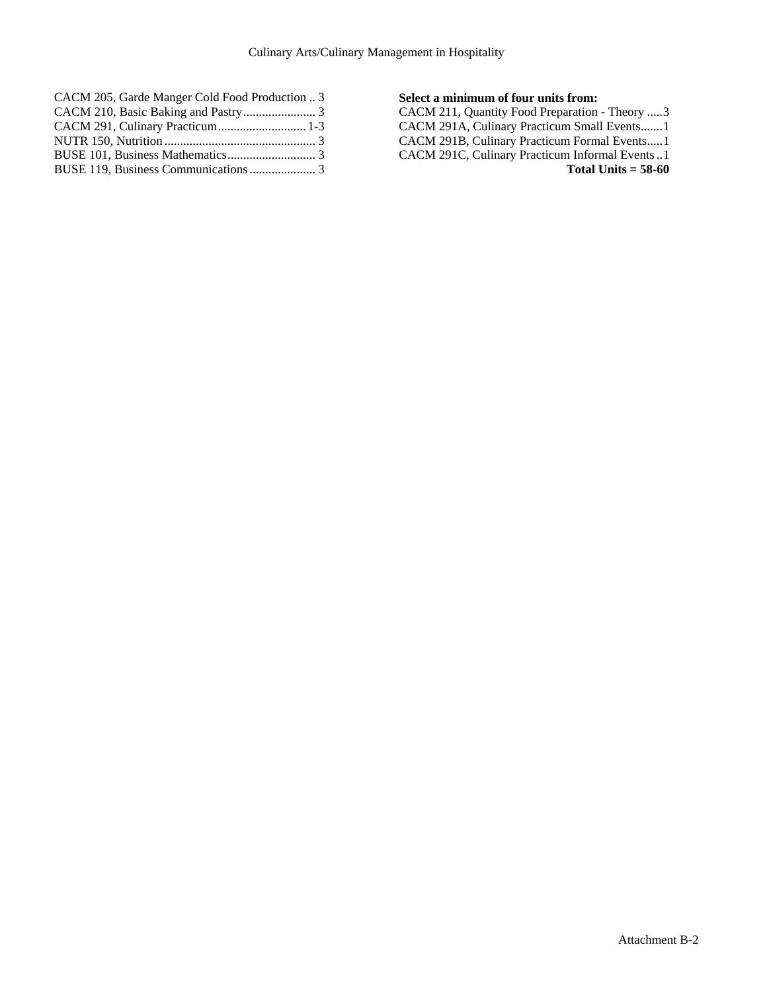| CACM 205, Garde Manger Cold Food Production  3 |  |
|------------------------------------------------|--|
|                                                |  |
| CACM 291, Culinary Practicum 1-3               |  |
|                                                |  |
|                                                |  |
|                                                |  |

### **Select a minimum of four units from:**

CACM 211, Quantity Food Preparation - Theory .....3 CACM 291A, Culinary Practicum Small Events.......1 CACM 291B, Culinary Practicum Formal Events.....1 CACM 291C, Culinary Practicum Informal Events ..1 **Total Units = 58-60**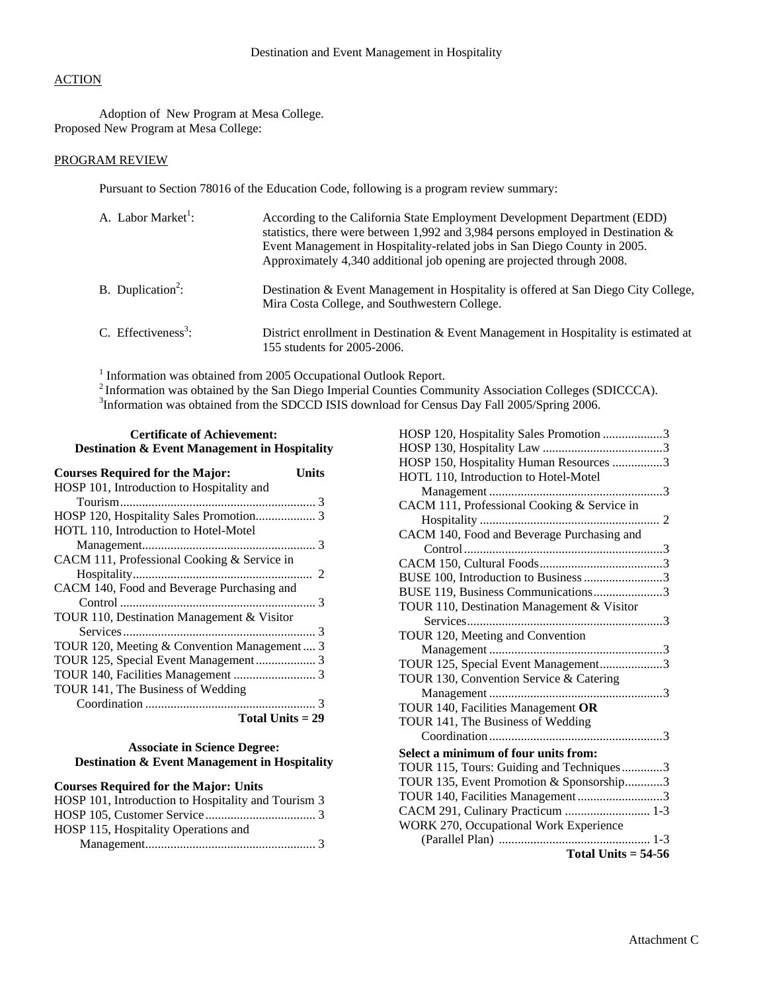Adoption of New Program at Mesa College. Proposed New Program at Mesa College:

### PROGRAM REVIEW

Pursuant to Section 78016 of the Education Code, following is a program review summary:

| A. Labor Market <sup>1</sup> :  | According to the California State Employment Development Department (EDD)<br>statistics, there were between 1,992 and 3,984 persons employed in Destination $\&$<br>Event Management in Hospitality-related jobs in San Diego County in 2005.<br>Approximately 4,340 additional job opening are projected through 2008. |
|---------------------------------|-------------------------------------------------------------------------------------------------------------------------------------------------------------------------------------------------------------------------------------------------------------------------------------------------------------------------|
| B. Duplication <sup>2</sup> :   | Destination & Event Management in Hospitality is offered at San Diego City College,<br>Mira Costa College, and Southwestern College.                                                                                                                                                                                    |
| C. Effectiveness <sup>3</sup> : | District enrollment in Destination & Event Management in Hospitality is estimated at<br>155 students for 2005-2006.                                                                                                                                                                                                     |

<sup>1</sup> Information was obtained from 2005 Occupational Outlook Report.

<sup>2</sup> Information was obtained by the San Diego Imperial Counties Community Association Colleges (SDICCCA).<br><sup>3</sup> Information was obtained from the SDCCD ISIS download for Census Day Fall 2005/Spring 2006.

#### **Certificate of Achievement: Destination & Event Management in Hospitality**

| <b>Courses Required for the Major:</b><br>Units |
|-------------------------------------------------|
| HOSP 101, Introduction to Hospitality and       |
|                                                 |
|                                                 |
| HOTL 110, Introduction to Hotel-Motel           |
|                                                 |
| CACM 111, Professional Cooking & Service in     |
|                                                 |
| CACM 140, Food and Beverage Purchasing and      |
|                                                 |
| TOUR 110, Destination Management & Visitor      |
|                                                 |
| TOUR 120, Meeting & Convention Management  3    |
|                                                 |
|                                                 |
| TOUR 141, The Business of Wedding               |
|                                                 |
| Total Units $= 29$                              |

### **Associate in Science Degree: Destination & Event Management in Hospitality**

## **Courses Required for the Major: Units**

| HOSP 101, Introduction to Hospitality and Tourism 3 |  |
|-----------------------------------------------------|--|
|                                                     |  |
| HOSP 115, Hospitality Operations and                |  |
|                                                     |  |

| HOSP 120, Hospitality Sales Promotion 3     |
|---------------------------------------------|
|                                             |
| HOSP 150, Hospitality Human Resources 3     |
| HOTL 110, Introduction to Hotel-Motel       |
|                                             |
| CACM 111, Professional Cooking & Service in |
|                                             |
| CACM 140, Food and Beverage Purchasing and  |
|                                             |
|                                             |
| BUSE 100, Introduction to Business 3        |
| BUSE 119, Business Communications3          |
| TOUR 110, Destination Management & Visitor  |
|                                             |
| TOUR 120, Meeting and Convention            |
|                                             |
| TOUR 125, Special Event Management3         |
| TOUR 130, Convention Service & Catering     |
|                                             |
| TOUR 140, Facilities Management OR          |
| TOUR 141, The Business of Wedding           |
|                                             |
| Select a minimum of four units from:        |
| TOUR 115, Tours: Guiding and Techniques3    |
| TOUR 135, Event Promotion & Sponsorship3    |
| TOUR 140, Facilities Management3            |
| CACM 291, Culinary Practicum  1-3           |
| WORK 270, Occupational Work Experience      |
|                                             |
| Total Units $= 54-56$                       |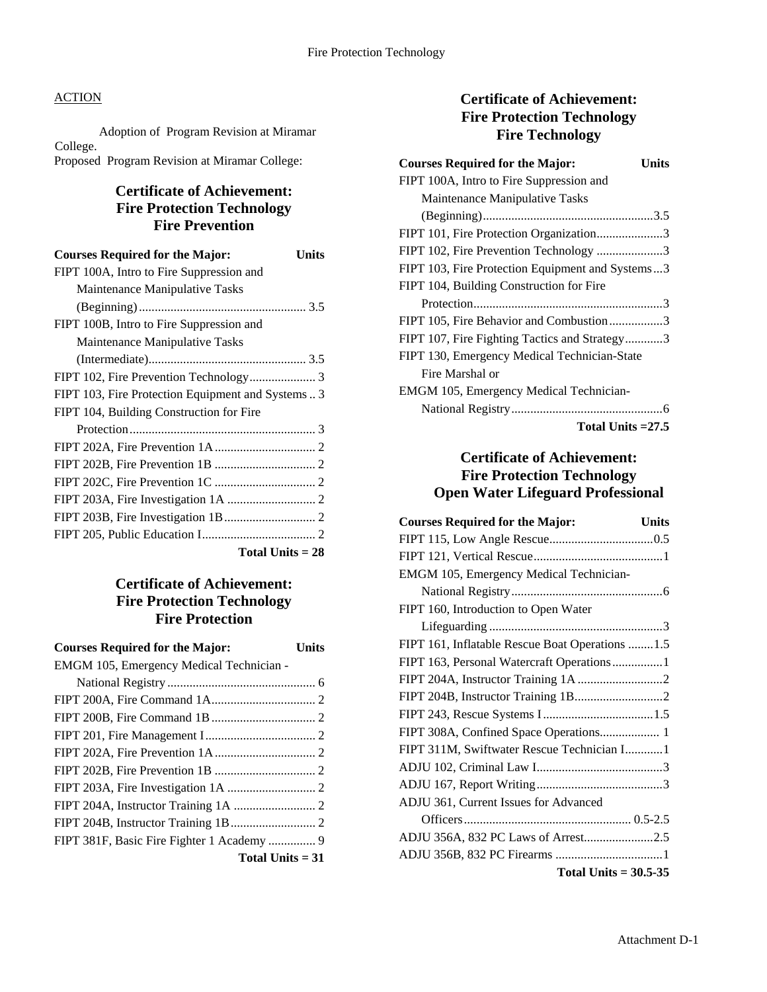Adoption of Program Revision at Miramar College. Proposed Program Revision at Miramar College:

# **Certificate of Achievement: Fire Protection Technology Fire Prevention**

| <b>Courses Required for the Major:</b><br>Units    |
|----------------------------------------------------|
| FIPT 100A, Intro to Fire Suppression and           |
| Maintenance Manipulative Tasks                     |
|                                                    |
| FIPT 100B, Intro to Fire Suppression and           |
| Maintenance Manipulative Tasks                     |
|                                                    |
| FIPT 102, Fire Prevention Technology 3             |
| FIPT 103, Fire Protection Equipment and Systems  3 |
| FIPT 104, Building Construction for Fire           |
|                                                    |
|                                                    |
|                                                    |
|                                                    |
|                                                    |
|                                                    |
|                                                    |
| Total Units $= 28$                                 |

# **Certificate of Achievement: Fire Protection Technology Fire Protection**

| <b>Courses Required for the Major:</b>   | Units |
|------------------------------------------|-------|
| EMGM 105, Emergency Medical Technician - |       |
|                                          |       |
|                                          |       |
|                                          |       |
|                                          |       |
|                                          |       |
|                                          |       |
|                                          |       |
|                                          |       |
|                                          |       |
|                                          |       |
| Total Units $= 31$                       |       |

# **Certificate of Achievement: Fire Protection Technology Fire Technology**

| <b>Courses Required for the Major:</b>           | Units |
|--------------------------------------------------|-------|
| FIPT 100A, Intro to Fire Suppression and         |       |
| Maintenance Manipulative Tasks                   |       |
|                                                  |       |
| FIPT 101, Fire Protection Organization3          |       |
| FIPT 102, Fire Prevention Technology 3           |       |
| FIPT 103, Fire Protection Equipment and Systems3 |       |
| FIPT 104, Building Construction for Fire         |       |
|                                                  |       |
| FIPT 105, Fire Behavior and Combustion3          |       |
| FIPT 107, Fire Fighting Tactics and Strategy3    |       |
| FIPT 130, Emergency Medical Technician-State     |       |
| Fire Marshal or                                  |       |
| EMGM 105, Emergency Medical Technician-          |       |
|                                                  |       |
| Total Units $=27.5$                              |       |

# **Certificate of Achievement: Fire Protection Technology Open Water Lifeguard Professional**

| <b>Courses Required for the Major:</b><br><b>Units</b> |
|--------------------------------------------------------|
|                                                        |
|                                                        |
| EMGM 105, Emergency Medical Technician-                |
|                                                        |
| FIPT 160, Introduction to Open Water                   |
|                                                        |
| FIPT 161, Inflatable Rescue Boat Operations  1.5       |
| FIPT 163, Personal Watercraft Operations1              |
|                                                        |
|                                                        |
|                                                        |
| FIPT 308A, Confined Space Operations 1                 |
| FIPT 311M, Swiftwater Rescue Technician I1             |
|                                                        |
|                                                        |
| ADJU 361, Current Issues for Advanced                  |
|                                                        |
| ADJU 356A, 832 PC Laws of Arrest2.5                    |
|                                                        |
| Total Units $= 30.5 - 35$                              |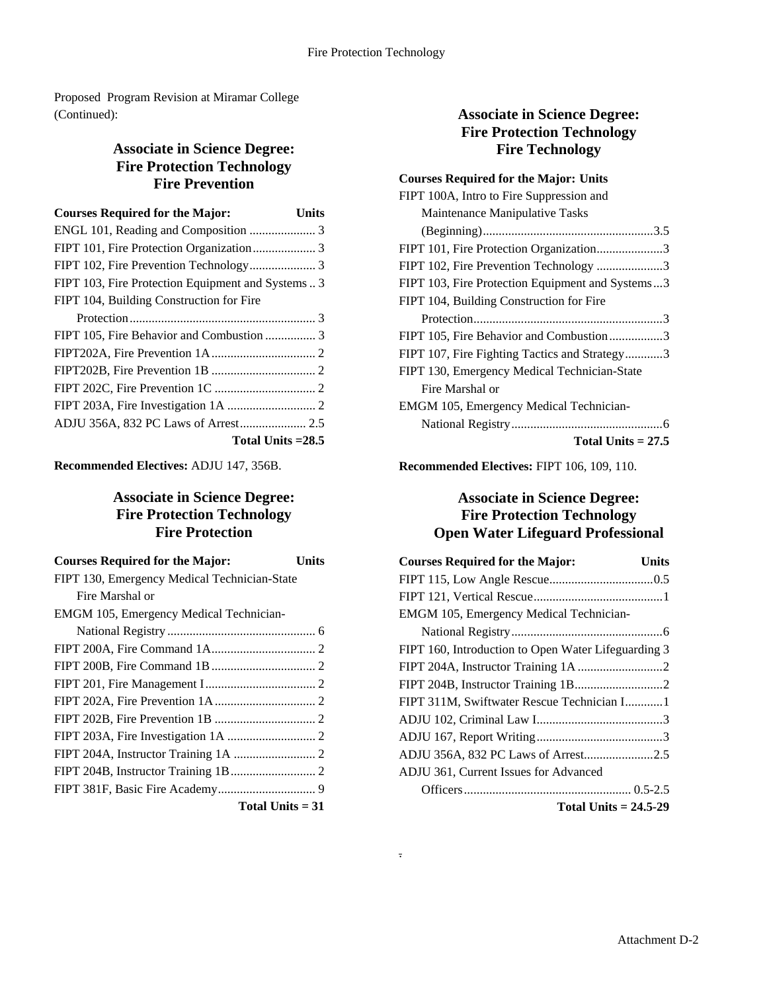Proposed Program Revision at Miramar College (Continued):

# **Associate in Science Degree: Fire Protection Technology Fire Prevention**

| <b>Courses Required for the Major:</b>             | Units |
|----------------------------------------------------|-------|
|                                                    |       |
|                                                    |       |
|                                                    |       |
| FIPT 103, Fire Protection Equipment and Systems  3 |       |
| FIPT 104, Building Construction for Fire           |       |
|                                                    |       |
|                                                    |       |
|                                                    |       |
|                                                    |       |
|                                                    |       |
|                                                    |       |
| ADJU 356A, 832 PC Laws of Arrest 2.5               |       |
| Total Units $=28.5$                                |       |

**Recommended Electives:** ADJU 147, 356B.

# **Associate in Science Degree: Fire Protection Technology Fire Protection**

| <b>Courses Required for the Major:</b><br>Units |  |
|-------------------------------------------------|--|
| FIPT 130, Emergency Medical Technician-State    |  |
| Fire Marshal or                                 |  |
| EMGM 105, Emergency Medical Technician-         |  |
|                                                 |  |
|                                                 |  |
|                                                 |  |
|                                                 |  |
|                                                 |  |
|                                                 |  |
|                                                 |  |
|                                                 |  |
|                                                 |  |
|                                                 |  |
| Total Units $= 31$                              |  |

# **Associate in Science Degree: Fire Protection Technology Fire Technology**

| <b>Courses Required for the Major: Units</b>     |
|--------------------------------------------------|
| FIPT 100A, Intro to Fire Suppression and         |
| Maintenance Manipulative Tasks                   |
|                                                  |
| FIPT 101, Fire Protection Organization3          |
| FIPT 102, Fire Prevention Technology 3           |
| FIPT 103, Fire Protection Equipment and Systems3 |
| FIPT 104, Building Construction for Fire         |
|                                                  |
| FIPT 105, Fire Behavior and Combustion3          |
| FIPT 107, Fire Fighting Tactics and Strategy3    |
| FIPT 130, Emergency Medical Technician-State     |
| Fire Marshal or                                  |
| EMGM 105, Emergency Medical Technician-          |
|                                                  |
| Total Units $= 27.5$                             |

**Recommended Electives:** FIPT 106, 109, 110.

# **Associate in Science Degree: Fire Protection Technology Open Water Lifeguard Professional**

| <b>Courses Required for the Major:</b>              | Units |
|-----------------------------------------------------|-------|
|                                                     |       |
|                                                     |       |
| EMGM 105, Emergency Medical Technician-             |       |
|                                                     |       |
| FIPT 160, Introduction to Open Water Lifeguarding 3 |       |
|                                                     |       |
|                                                     |       |
| FIPT 311M, Swiftwater Rescue Technician I1          |       |
|                                                     |       |
|                                                     |       |
| ADJU 356A, 832 PC Laws of Arrest2.5                 |       |
| ADJU 361, Current Issues for Advanced               |       |
|                                                     |       |
| Total Units $= 24.5 - 29$                           |       |

.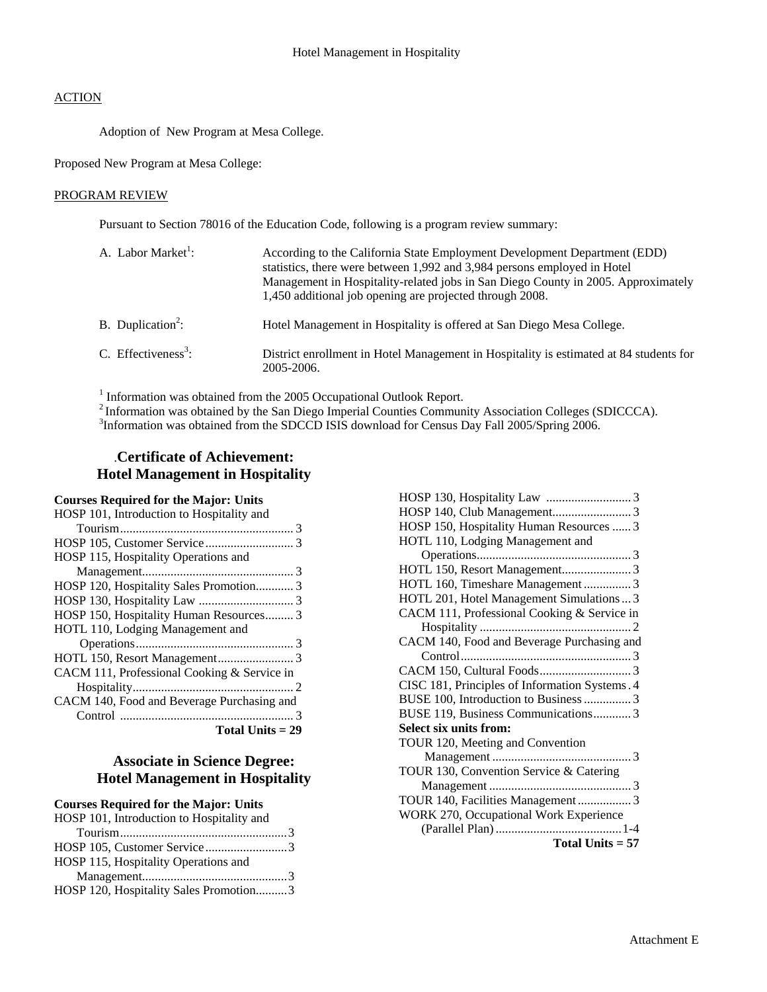Adoption of New Program at Mesa College.

Proposed New Program at Mesa College:

#### PROGRAM REVIEW

Pursuant to Section 78016 of the Education Code, following is a program review summary:

| A. Labor Market <sup>1</sup> :  | According to the California State Employment Development Department (EDD)<br>statistics, there were between 1,992 and 3,984 persons employed in Hotel<br>Management in Hospitality-related jobs in San Diego County in 2005. Approximately<br>1,450 additional job opening are projected through 2008. |
|---------------------------------|--------------------------------------------------------------------------------------------------------------------------------------------------------------------------------------------------------------------------------------------------------------------------------------------------------|
| B. Duplication <sup>2</sup> :   | Hotel Management in Hospitality is offered at San Diego Mesa College.                                                                                                                                                                                                                                  |
| C. Effectiveness <sup>3</sup> : | District enrollment in Hotel Management in Hospitality is estimated at 84 students for<br>2005-2006.                                                                                                                                                                                                   |

 $<sup>1</sup>$  Information was obtained from the 2005 Occupational Outlook Report.</sup>

<sup>2</sup> Information was obtained by the San Diego Imperial Counties Community Association Colleges (SDICCCA). <sup>3</sup>Information was obtained from the SDCCD ISIS download for Census Day Fall 2005/Spring 2006.

# .**Certificate of Achievement: Hotel Management in Hospitality**

### **Courses Required for the Major: Units**

| HOSP 101, Introduction to Hospitality and   |
|---------------------------------------------|
|                                             |
|                                             |
| HOSP 115, Hospitality Operations and        |
|                                             |
| HOSP 120, Hospitality Sales Promotion 3     |
|                                             |
| HOSP 150, Hospitality Human Resources 3     |
| HOTL 110, Lodging Management and            |
|                                             |
|                                             |
| CACM 111, Professional Cooking & Service in |
|                                             |
| CACM 140, Food and Beverage Purchasing and  |
|                                             |
|                                             |

 **Total Units = 29** 

# **Associate in Science Degree: Hotel Management in Hospitality**

### **Courses Required for the Major: Units**

| HOSP 101, Introduction to Hospitality and |  |
|-------------------------------------------|--|
|                                           |  |
| HOSP 105, Customer Service3               |  |
| HOSP 115, Hospitality Operations and      |  |
|                                           |  |
| HOSP 120, Hospitality Sales Promotion3    |  |

| HOSP 150, Hospitality Human Resources  3       |
|------------------------------------------------|
| HOTL 110, Lodging Management and               |
|                                                |
|                                                |
| HOTL 160, Timeshare Management  3              |
| HOTL 201, Hotel Management Simulations  3      |
| CACM 111, Professional Cooking & Service in    |
|                                                |
| CACM 140, Food and Beverage Purchasing and     |
|                                                |
|                                                |
| CISC 181, Principles of Information Systems. 4 |
| BUSE 100, Introduction to Business  3          |
| BUSE 119, Business Communications 3            |
| Select six units from:                         |
| TOUR 120, Meeting and Convention               |
|                                                |
| TOUR 130, Convention Service & Catering        |
|                                                |
| TOUR 140, Facilities Management  3             |
| WORK 270, Occupational Work Experience         |
|                                                |
| <b>Total Units = 57</b>                        |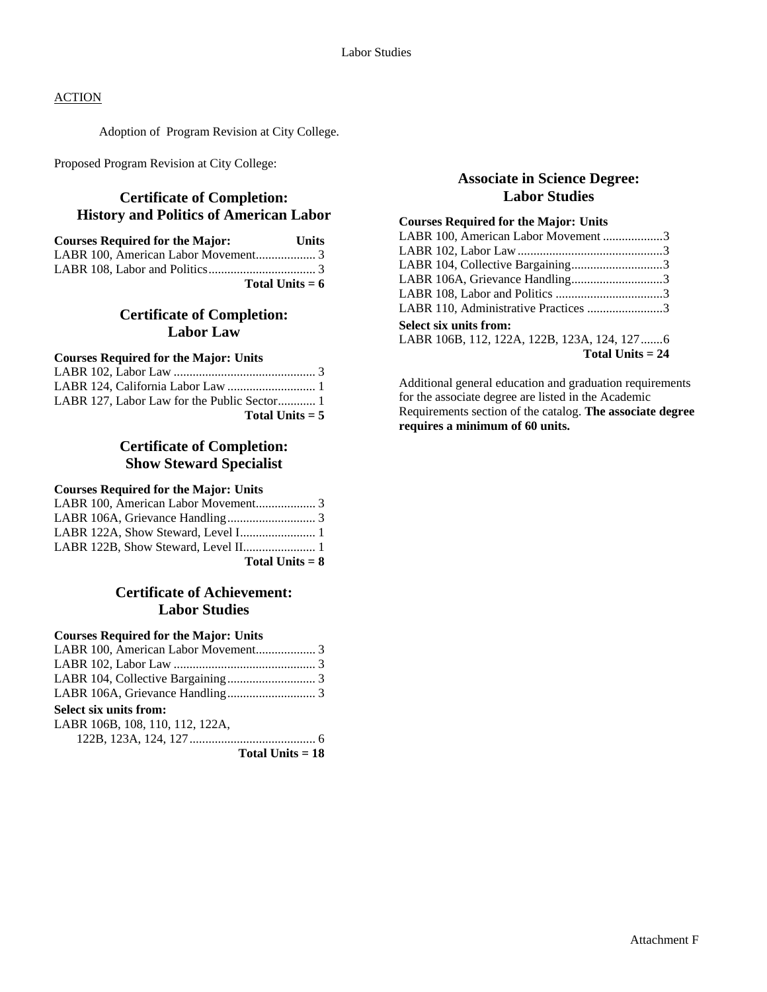Adoption of Program Revision at City College.

Proposed Program Revision at City College:

## **Certificate of Completion: History and Politics of American Labor**

| <b>Courses Required for the Major:</b> | Units |
|----------------------------------------|-------|
|                                        |       |
|                                        |       |
| Total Units $= 6$                      |       |

# **Certificate of Completion: Labor Law**

#### **Courses Required for the Major: Units**

| Total Units $= 5$ |  |
|-------------------|--|

## **Certificate of Completion: Show Steward Specialist**

#### **Courses Required for the Major: Units**

| Total Units $= 8$ |  |
|-------------------|--|

## **Certificate of Achievement: Labor Studies**

#### **Courses Required for the Major: Units**

## **Select six units from:**

| LABR 106B, 108, 110, 112, 122A, |  |
|---------------------------------|--|
|---------------------------------|--|

122B, 123A, 124, 127........................................ 6

**Total Units = 18**

## **Associate in Science Degree: Labor Studies**

### **Courses Required for the Major: Units**

| LABR 100, American Labor Movement 3         |  |
|---------------------------------------------|--|
|                                             |  |
| LABR 104, Collective Bargaining3            |  |
| LABR 106A, Grievance Handling3              |  |
|                                             |  |
| LABR 110, Administrative Practices 3        |  |
| <b>Select six units from:</b>               |  |
| LABR 106B, 112, 122A, 122B, 123A, 124, 1276 |  |
| Total Units $= 24$                          |  |

Additional general education and graduation requirements for the associate degree are listed in the Academic Requirements section of the catalog. **The associate degree requires a minimum of 60 units.**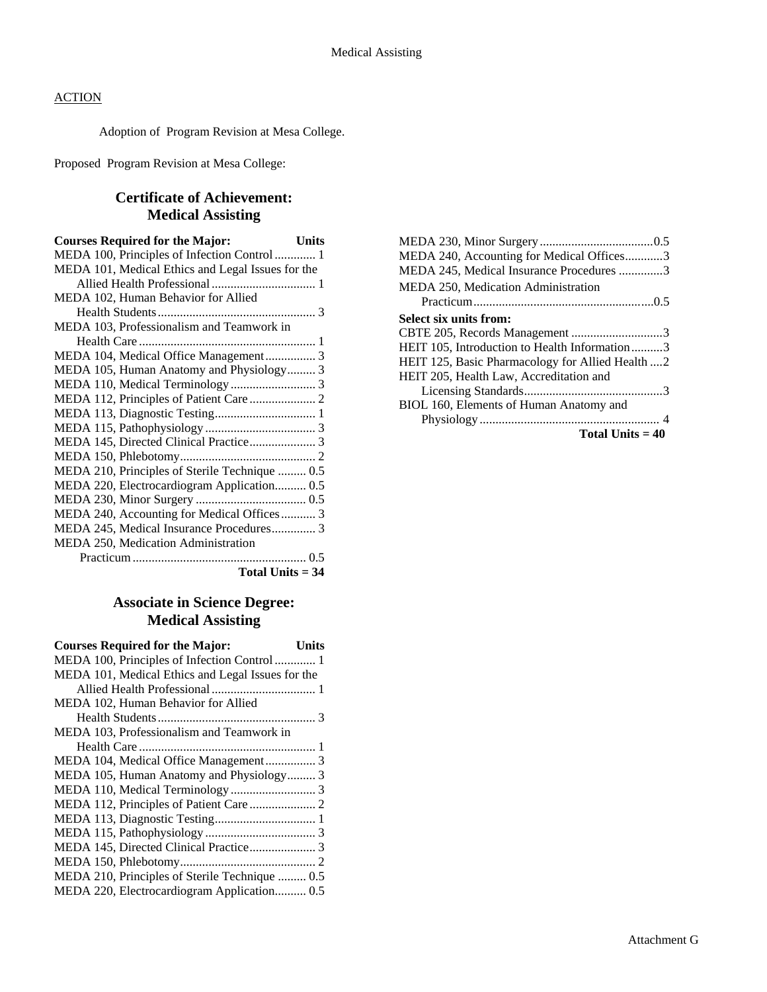Adoption of Program Revision at Mesa College.

Proposed Program Revision at Mesa College:

# **Certificate of Achievement: Medical Assisting**

| <b>Courses Required for the Major:</b><br><b>Units</b> |  |
|--------------------------------------------------------|--|
| MEDA 100, Principles of Infection Control 1            |  |
| MEDA 101, Medical Ethics and Legal Issues for the      |  |
|                                                        |  |
| MEDA 102, Human Behavior for Allied                    |  |
|                                                        |  |
| MEDA 103, Professionalism and Teamwork in              |  |
|                                                        |  |
| MEDA 104, Medical Office Management 3                  |  |
| MEDA 105, Human Anatomy and Physiology 3               |  |
|                                                        |  |
|                                                        |  |
|                                                        |  |
|                                                        |  |
| MEDA 145, Directed Clinical Practice 3                 |  |
|                                                        |  |
| MEDA 210, Principles of Sterile Technique  0.5         |  |
| MEDA 220, Electrocardiogram Application 0.5            |  |
|                                                        |  |
| MEDA 240, Accounting for Medical Offices 3             |  |
| MEDA 245, Medical Insurance Procedures 3               |  |
| MEDA 250, Medication Administration                    |  |
|                                                        |  |
| Total Units $= 34$                                     |  |

# **Associate in Science Degree: Medical Assisting**

| <b>Courses Required for the Major:</b><br>Units   |
|---------------------------------------------------|
| MEDA 100, Principles of Infection Control 1       |
| MEDA 101, Medical Ethics and Legal Issues for the |
|                                                   |
| MEDA 102, Human Behavior for Allied               |
|                                                   |
| MEDA 103, Professionalism and Teamwork in         |
|                                                   |
| MEDA 104, Medical Office Management 3             |
| MEDA 105, Human Anatomy and Physiology 3          |
|                                                   |
|                                                   |
| MEDA 113, Diagnostic Testing 1                    |
|                                                   |
| MEDA 145, Directed Clinical Practice 3            |
|                                                   |
| MEDA 210, Principles of Sterile Technique  0.5    |
| MEDA 220, Electrocardiogram Application 0.5       |

| MEDA 240, Accounting for Medical Offices3        |
|--------------------------------------------------|
| MEDA 245, Medical Insurance Procedures 3         |
| MEDA 250, Medication Administration              |
|                                                  |
| Select six units from:                           |
| CBTE 205, Records Management 3                   |
| HEIT 105, Introduction to Health Information3    |
| HEIT 125, Basic Pharmacology for Allied Health 2 |
| HEIT 205, Health Law, Accreditation and          |
|                                                  |
| BIOL 160, Elements of Human Anatomy and          |
|                                                  |
| Total Units $=40$                                |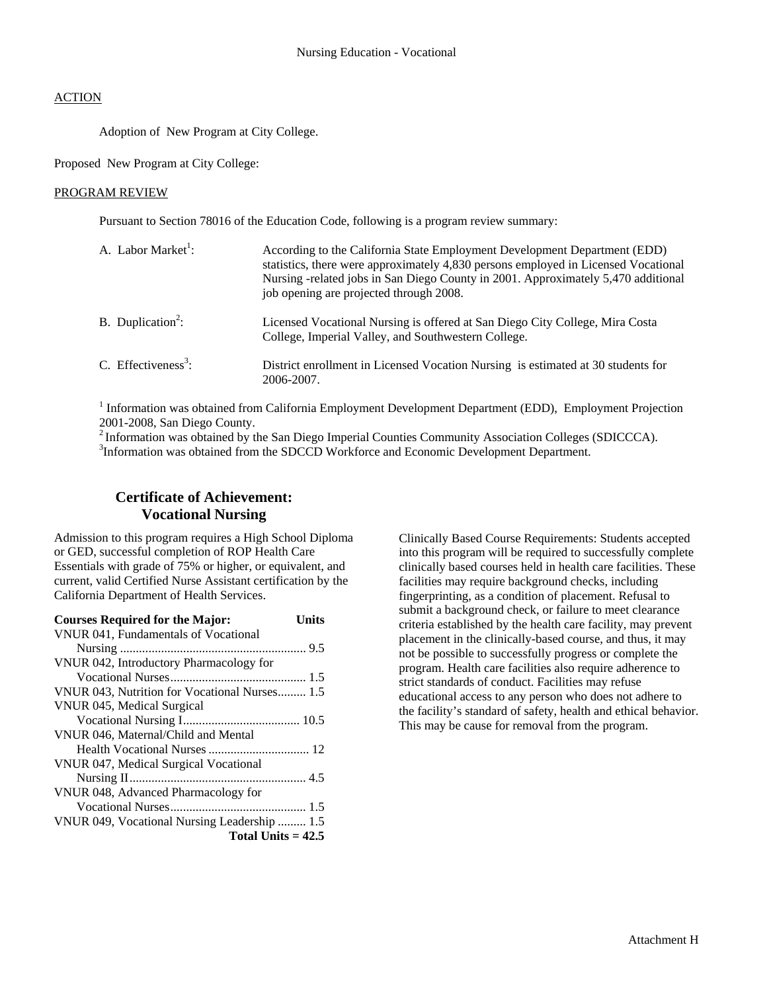Adoption of New Program at City College.

Proposed New Program at City College:

#### PROGRAM REVIEW

Pursuant to Section 78016 of the Education Code, following is a program review summary:

| A. Labor Market <sup>1</sup> :  | According to the California State Employment Development Department (EDD)<br>statistics, there were approximately 4,830 persons employed in Licensed Vocational<br>Nursing -related jobs in San Diego County in 2001. Approximately 5,470 additional<br>job opening are projected through 2008. |
|---------------------------------|-------------------------------------------------------------------------------------------------------------------------------------------------------------------------------------------------------------------------------------------------------------------------------------------------|
| B. Duplication <sup>2</sup> :   | Licensed Vocational Nursing is offered at San Diego City College, Mira Costa<br>College, Imperial Valley, and Southwestern College.                                                                                                                                                             |
| C. Effectiveness <sup>3</sup> : | District enrollment in Licensed Vocation Nursing is estimated at 30 students for<br>2006-2007.                                                                                                                                                                                                  |

<sup>1</sup> Information was obtained from California Employment Development Department (EDD), Employment Projection 2001-2008, San Diego County.

<sup>2</sup> Information was obtained by the San Diego Imperial Counties Community Association Colleges (SDICCCA).

<sup>3</sup>Information was obtained from the SDCCD Workforce and Economic Development Department.

## **Certificate of Achievement: Vocational Nursing**

Admission to this program requires a High School Diploma or GED, successful completion of ROP Health Care Essentials with grade of 75% or higher, or equivalent, and current, valid Certified Nurse Assistant certification by the California Department of Health Services.

| <b>Courses Required for the Major:</b>        | Units |
|-----------------------------------------------|-------|
| VNUR 041, Fundamentals of Vocational          |       |
|                                               |       |
| VNUR 042, Introductory Pharmacology for       |       |
|                                               |       |
| VNUR 043, Nutrition for Vocational Nurses 1.5 |       |
| VNUR 045, Medical Surgical                    |       |
|                                               |       |
| VNUR 046, Maternal/Child and Mental           |       |
|                                               |       |
| VNUR 047, Medical Surgical Vocational         |       |
|                                               |       |
| VNUR 048, Advanced Pharmacology for           |       |
|                                               |       |
| VNUR 049, Vocational Nursing Leadership  1.5  |       |
| Total Units $= 42.5$                          |       |

Clinically Based Course Requirements: Students accepted into this program will be required to successfully complete clinically based courses held in health care facilities. These facilities may require background checks, including fingerprinting, as a condition of placement. Refusal to submit a background check, or failure to meet clearance criteria established by the health care facility, may prevent placement in the clinically-based course, and thus, it may not be possible to successfully progress or complete the program. Health care facilities also require adherence to strict standards of conduct. Facilities may refuse educational access to any person who does not adhere to the facility's standard of safety, health and ethical behavior. This may be cause for removal from the program.